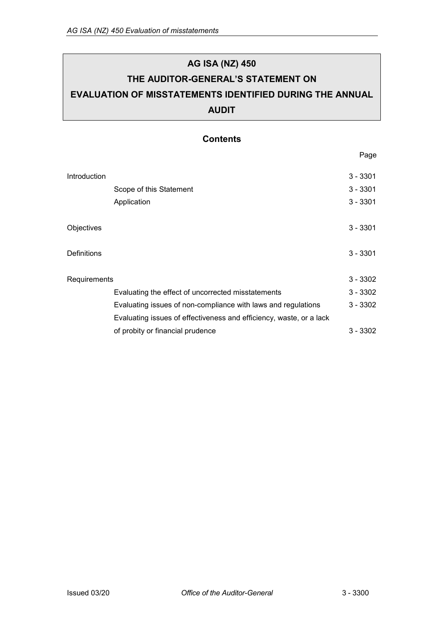# **AG ISA (NZ) 450 THE AUDITOR-GENERAL'S STATEMENT ON EVALUATION OF MISSTATEMENTS IDENTIFIED DURING THE ANNUAL AUDIT**

## **Contents**

|              |                                                                     | Page       |
|--------------|---------------------------------------------------------------------|------------|
| Introduction |                                                                     | $3 - 3301$ |
|              | Scope of this Statement                                             | $3 - 3301$ |
|              | Application                                                         | $3 - 3301$ |
| Objectives   |                                                                     | $3 - 3301$ |
| Definitions  |                                                                     | $3 - 3301$ |
| Requirements |                                                                     | $3 - 3302$ |
|              | Evaluating the effect of uncorrected misstatements                  | $3 - 3302$ |
|              | Evaluating issues of non-compliance with laws and regulations       | $3 - 3302$ |
|              | Evaluating issues of effectiveness and efficiency, waste, or a lack |            |
|              | of probity or financial prudence                                    | $3 - 3302$ |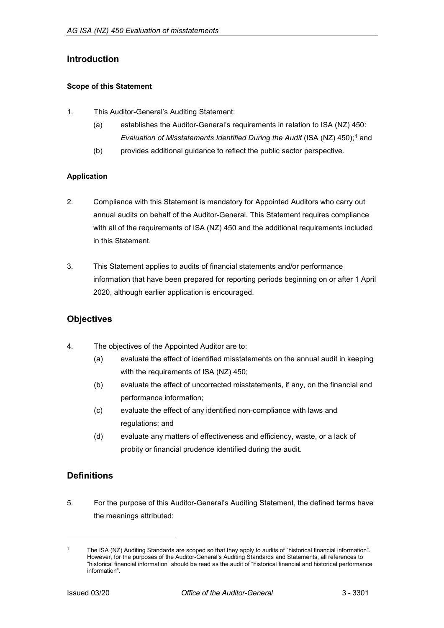## <span id="page-1-0"></span>**Introduction**

#### <span id="page-1-1"></span>**Scope of this Statement**

- 1. This Auditor-General's Auditing Statement:
	- (a) establishes the Auditor-General's requirements in relation to ISA (NZ) 450: *Evaluation of Misstatements Identified During the Audit* (ISA (NZ) 450);<sup>[1](#page-1-5)</sup> and
	- (b) provides additional guidance to reflect the public sector perspective.

#### <span id="page-1-2"></span>**Application**

- 2. Compliance with this Statement is mandatory for Appointed Auditors who carry out annual audits on behalf of the Auditor-General. This Statement requires compliance with all of the requirements of ISA (NZ) 450 and the additional requirements included in this Statement.
- 3. This Statement applies to audits of financial statements and/or performance information that have been prepared for reporting periods beginning on or after 1 April 2020, although earlier application is encouraged.

## <span id="page-1-3"></span>**Objectives**

- 4. The objectives of the Appointed Auditor are to:
	- (a) evaluate the effect of identified misstatements on the annual audit in keeping with the requirements of ISA (NZ) 450;
	- (b) evaluate the effect of uncorrected misstatements, if any, on the financial and performance information;
	- (c) evaluate the effect of any identified non-compliance with laws and regulations; and
	- (d) evaluate any matters of effectiveness and efficiency, waste, or a lack of probity or financial prudence identified during the audit.

## <span id="page-1-4"></span>**Definitions**

5. For the purpose of this Auditor-General's Auditing Statement, the defined terms have the meanings attributed:

-

<span id="page-1-5"></span>The ISA (NZ) Auditing Standards are scoped so that they apply to audits of "historical financial information". However, for the purposes of the Auditor-General's Auditing Standards and Statements, all references to "historical financial information" should be read as the audit of "historical financial and historical performance information".